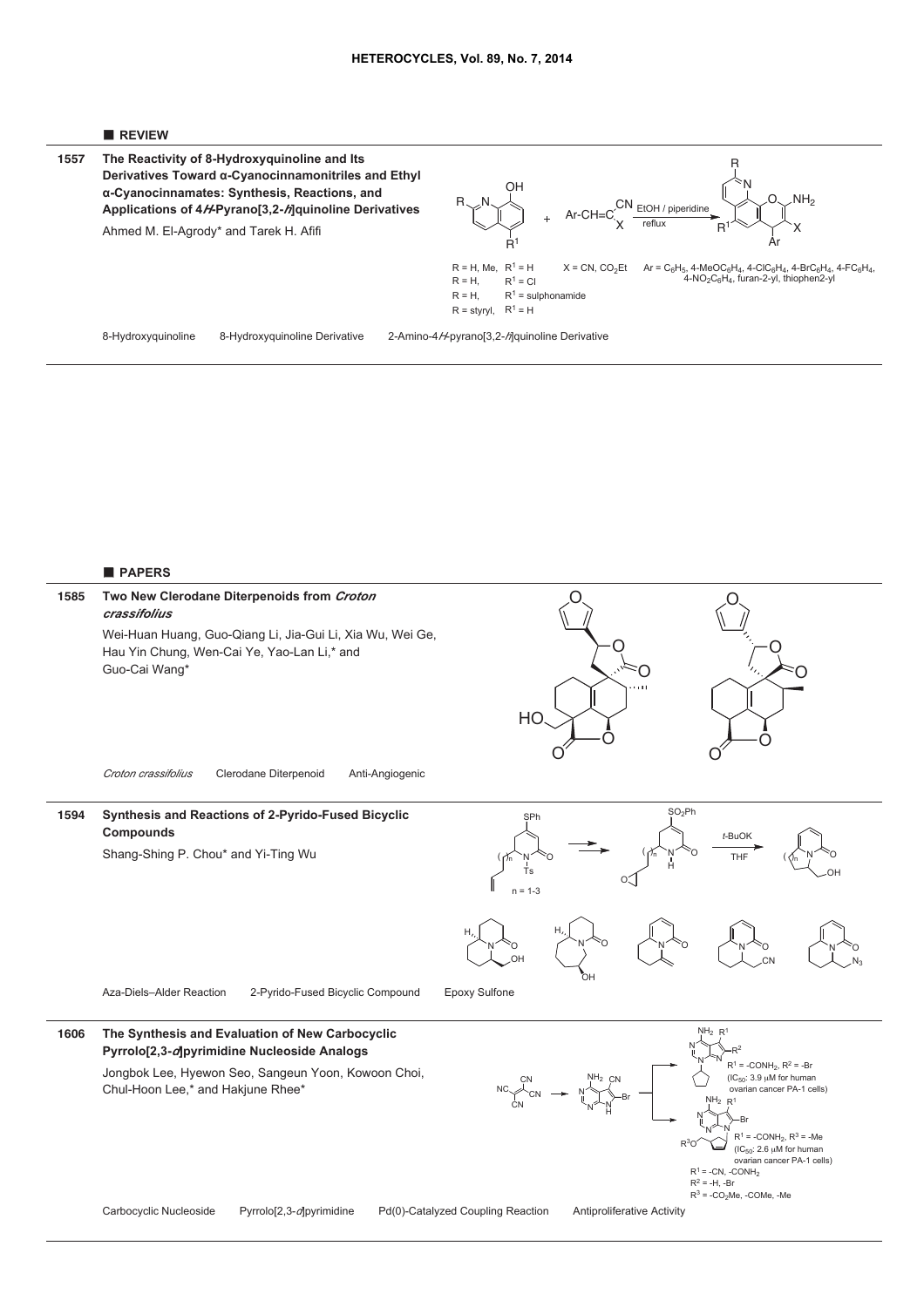

**The Reactivity of 8-Hydroxyquinoline and Its Derivatives Toward !-Cyanocinnamonitriles and Ethyl !-Cyanocinnamates: Synthesis, Reactions, and Applications of 4***H***-Pyrano[3,2-***h***]quinoline Derivatives** Ahmed M. El-Agrody\* and Tarek H. Afifi **1557**



8-Hydroxyquinoline 8-Hydroxyquinoline Derivative 2-Amino-4*H*-pyrano[3,2-*h*]quinoline Derivative

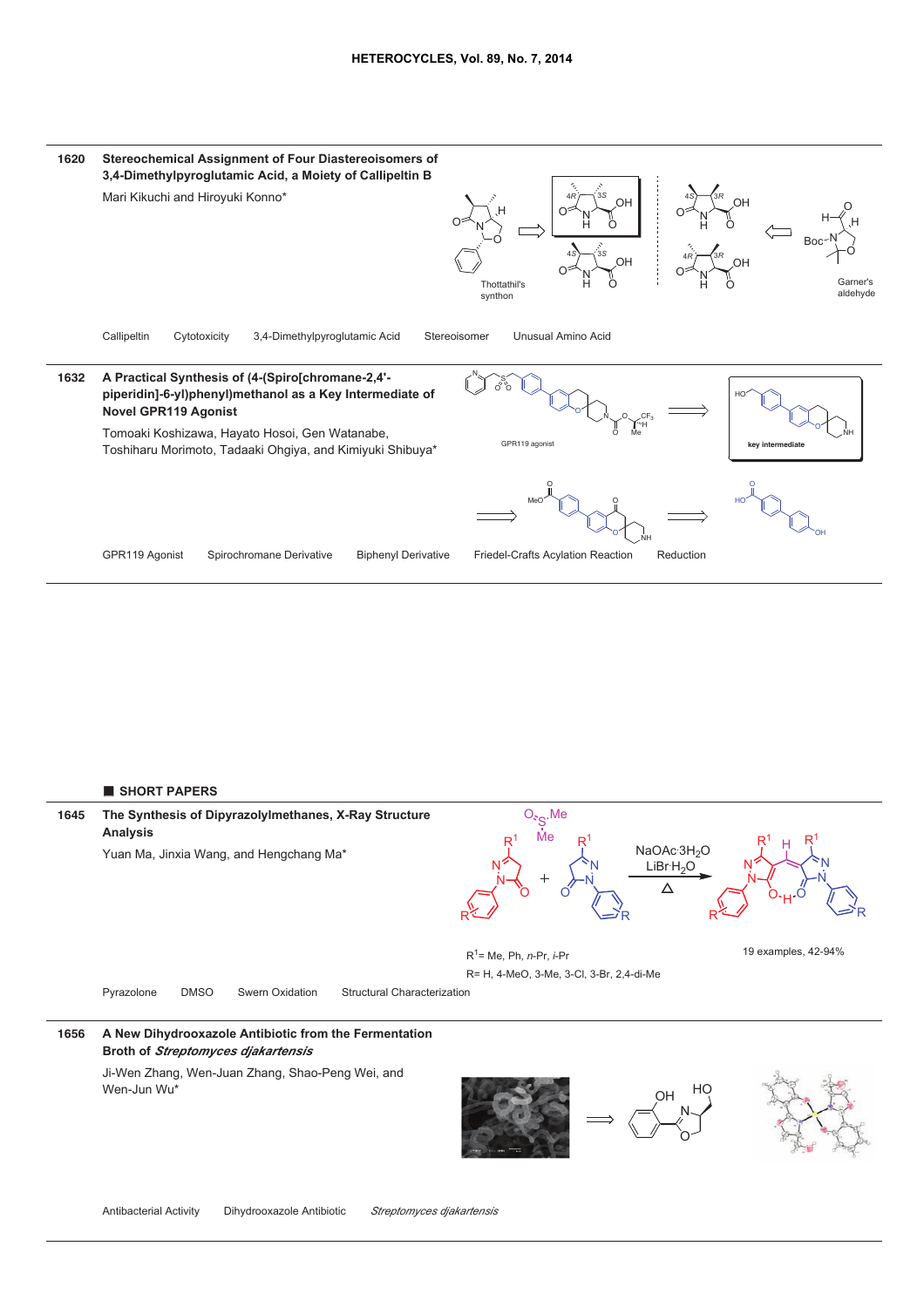

■ **SHORT PAPERS**

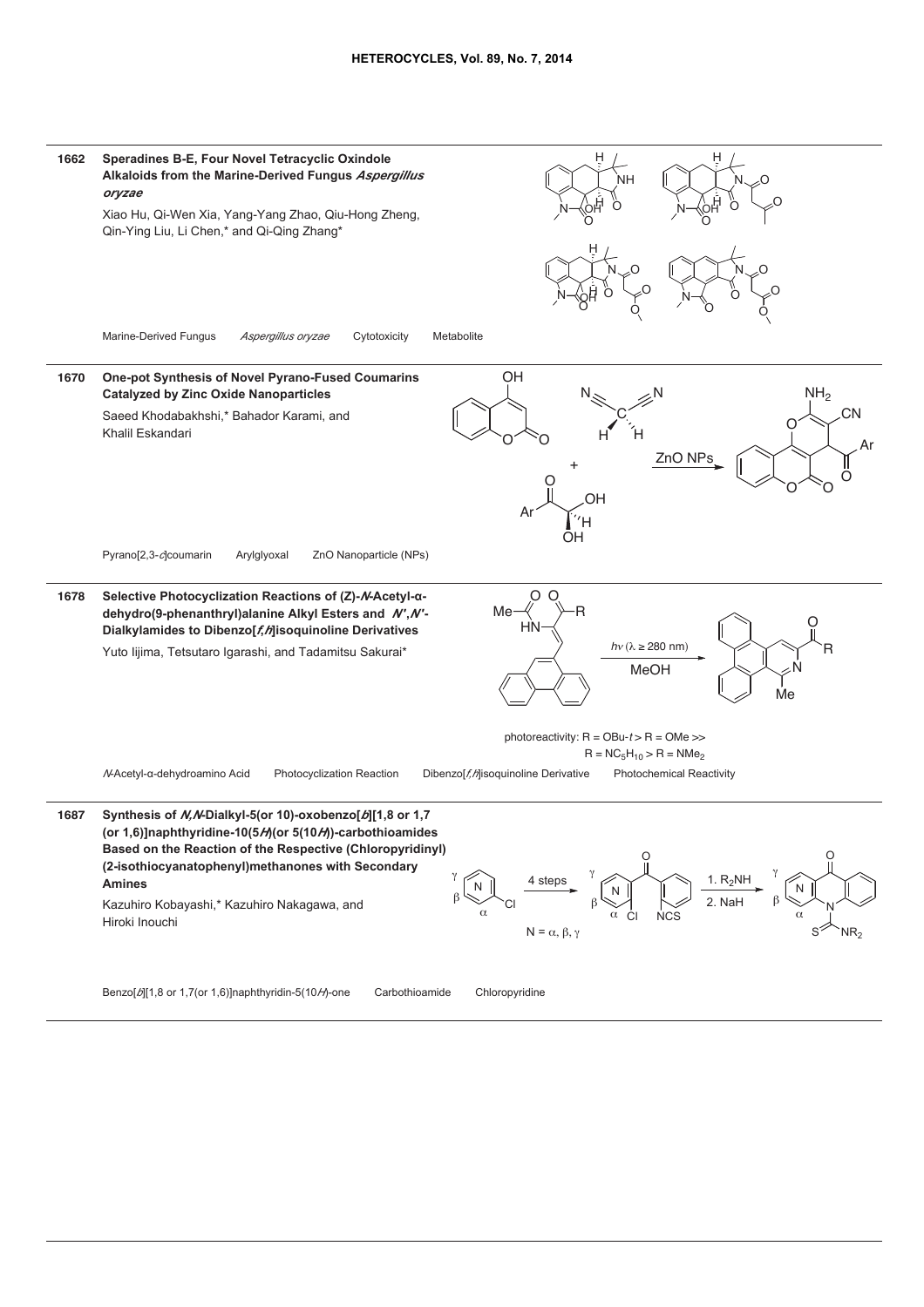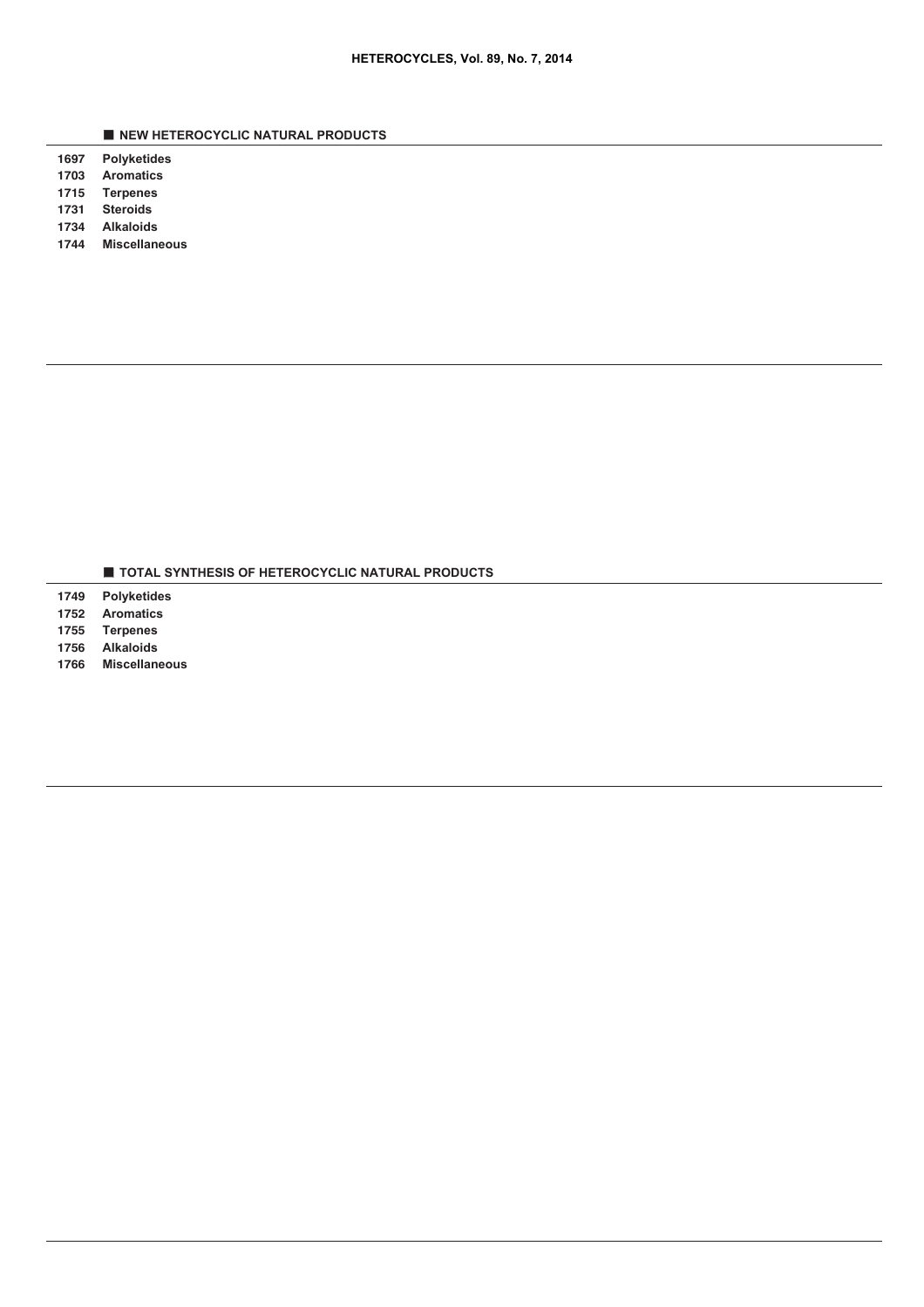■ **NEW HETEROCYCLIC NATURAL PRODUCTS**

 **Polyketides Aromatics**

 **Terpenes**

**Steroids**

**Alkaloids**

**Miscellaneous**

■ **TOTAL SYNTHESIS OF HETEROCYCLIC NATURAL PRODUCTS**

 **Polyketides Aromatics Terpenes**

**Alkaloids**

**Miscellaneous**